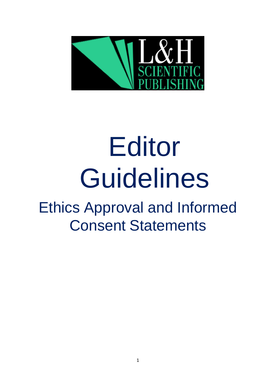

# Editor Guidelines

Ethics Approval and Informed Consent Statements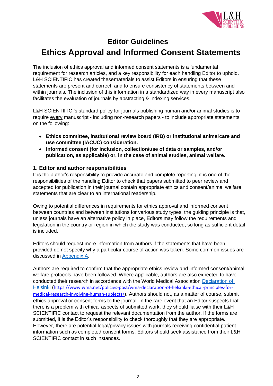

# **Editor Guidelines**

# **Ethics Approval and Informed Consent Statements**

The inclusion of ethics approval and informed consent statements is a fundamental requirement for research articles, and a key responsibility for each handling Editor to uphold. L&H SCIENTIFIC has created thesematerials to assist Editors in ensuring that these statements are present and correct, and to ensure consistency of statements between and within journals. The inclusion of this information in a standardized way in every manuscript also facilitates the evaluation of journals by abstracting & indexing services.

L&H SCIENTIFIC 's standard policy for journals publishing human and/or animal studies is to require every manuscript - including non-research papers - to include appropriate statements on the following:

- **Ethics committee, institutional review board (IRB) or institutional animalcare and use committee (IACUC) consideration.**
- **Informed consent (for inclusion, collection/use of data or samples, and/or publication, as applicable) or, in the case of animal studies, animal welfare.**

# **1. Editor and author responsibilities**

It is the author's responsibility to provide accurate and complete reporting; it is one of the responsibilities of the handling Editor to check that papers submitted to peer review and accepted for publication in their journal contain appropriate ethics and consent/animal welfare statements that are clear to an international readership.

Owing to potential differences in requirements for ethics approval and informed consent between countries and between institutions for various study types, the guiding principle is that, unless journals have an alternative policy in place, Editors may follow the requirements and legislation in the country or region in which the study was conducted, so long as sufficient detail is included.

Editors should request more information from authors if the statements that have been provided do not specify why a particular course of action was taken. Some common issues are discussed in [Appendix](#page-4-0) A.

Authors are required to confirm that the appropriate ethics review and informed consent/animal welfare protocols have been followed. Where applicable, authors are also expected to have conducted their research in accordance with the World Medical Association [Declaration of](https://www.wma.net/policies-post/wma-declaration-of-helsinki-ethical-principles-for-medical-research-involving-human-subjects/)  [Helsinki](https://www.wma.net/policies-post/wma-declaration-of-helsinki-ethical-principles-for-medical-research-involving-human-subjects/) ([https://www.wma.net/policies-post/wma-declaration-of-helsinki-ethical-principles-for](https://www.wma.net/policies-post/wma-declaration-of-helsinki-ethical-principles-for-medical-research-involving-human-subjects/)[medical-research-involving-human-subjects/](https://www.wma.net/policies-post/wma-declaration-of-helsinki-ethical-principles-for-medical-research-involving-human-subjects/)). Authors should not, as a matter of course, submit ethics approval or consent forms to the journal. In the rare event that an Editor suspects that there is a problem with ethical aspects of submitted work, they should liaise with their L&H SCIENTIFIC contact to request the relevant documentation from the author. If the forms are submitted, it is the Editor's responsibility to check thoroughly that they are appropriate. However, there are potential legal/privacy issues with journals receiving confidential patient information such as completed consent forms. Editors should seek assistance from their L&H SCIENTIFIC contact in such instances.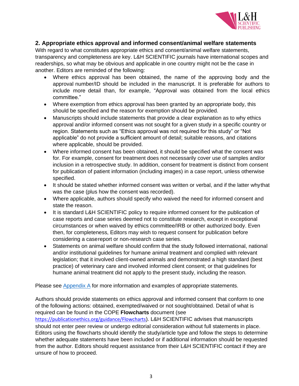

# **2. Appropriate ethics approval and informed consent/animal welfare statements**

With regard to what constitutes appropriate ethics and consent/animal welfare statements, transparency and completeness are key. L&H SCIENTIFIC journals have international scopes and readerships, so what may be obvious and applicable in one country might not be the case in another. Editors are reminded of the following:

- Where ethics approval has been obtained, the name of the approving body and the approval number/ID should be included in the manuscript. It is preferable for authors to include more detail than, for example, "Approval was obtained from the local ethics committee."
- Where exemption from ethics approval has been granted by an appropriate body, this should be specified and the reason for exemption should be provided.
- Manuscripts should include statements that provide a clear explanation as to why ethics approval and/or informed consent was not sought for a given study in a specific country or region. Statements such as "Ethics approval was not required for this study" or "Not applicable" do not provide a sufficient amount of detail; suitable reasons, and citations where applicable, should be provided.
- Where informed consent has been obtained, it should be specified what the consent was for. For example, consent for treatment does not necessarily cover use of samples and/or inclusion in a retrospective study. In addition, consent for treatment is distinct from consent for publication of patient information (including images) in a case report, unless otherwise specified.
- It should be stated whether informed consent was written or verbal, and if the latter whythat was the case (plus how the consent was recorded).
- Where applicable, authors should specify who waived the need for informed consent and state the reason.
- It is standard L&H SCIENTIFIC policy to require informed consent for the publication of case reports and case series deemed not to constitute research, except in exceptional circumstances or when waived by ethics committee/IRB or other authorized body. Even then, for completeness, Editors may wish to request consent for publication before considering a casereport or non-research case series.
- Statements on animal welfare should confirm that the study followed international, national and/or institutional guidelines for humane animal treatment and complied with relevant legislation; that it involved client-owned animals and demonstrated a high standard (best practice) of veterinary care and involved informed client consent; or that guidelines for humane animal treatment did not apply to the present study, including the reason.

Please see [Appendix](#page-4-1) A for more information and examples of appropriate statements.

Authors should provide statements on ethics approval and informed consent that conform to one of the following actions: obtained, exempted/waived or not sought/obtained. Detail of what is required can be found in the COPE **Flowcharts** document (see <https://publicationethics.org/guidance/Flowcharts>). L&H SCIENTIFIC advises that manuscripts should not enter peer review or undergo editorial consideration without full statements in place. Editors using the flowcharts should identify the study/article type and follow the steps to determine whether adequate statements have been included or if additional information should be requested from the author. Editors should request assistance from their L&H SCIENTIFIC contact if they are unsure of how to proceed.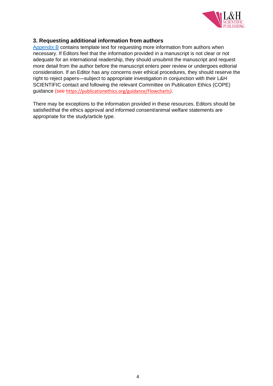

### **3. Requesting additional information from authors**

[Appendix B](#page-7-0) contains template text for requesting more information from authors when necessary. If Editors feel that the information provided in a manuscript is not clear or not adequate for an international readership, they should unsubmit the manuscript and request more detail from the author before the manuscript enters peer review or undergoes editorial consideration. If an Editor has any concerns over ethical procedures, they should reserve the right to reject papers—subject to appropriate investigation in conjunction with their L&H SCIENTIFIC contact and following the relevant Committee on Publication Ethics (COPE) guidance (see <https://publicationethics.org/guidance/Flowcharts>).

There may be exceptions to the information provided in these resources. Editors should be satisfiedthat the ethics approval and informed consent/animal welfare statements are appropriate for the study/article type.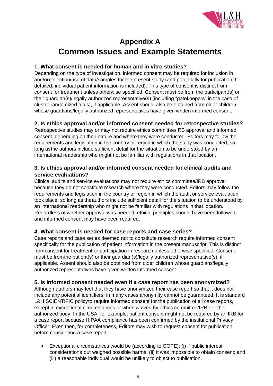

# **Appendix A**

# <span id="page-4-1"></span>**Common Issues and Example Statements**

# <span id="page-4-0"></span>**1. What consent is needed for human and in vitro studies?**

Depending on the type of investigation, informed consent may be required for inclusion in and/orcollection/use of data/samples for the present study (and potentially for publication if detailed, individual patient information is included). This type of consent is distinct from consent for treatment unless otherwise specified. Consent must be from the participant(s) or their guardian(s)/legally authorized representative(s) (including "gatekeepers" in the case of cluster randomized trials), if applicable. Assent should also be obtained from older children whose guardians/legally authorized representatives have given written informed consent.

# **2. Is ethics approval and/or informed consent needed for retrospective studies?**

Retrospective studies may or may not require ethics committee/IRB approval and informed consent, depending on their nature and where they were conducted. Editors may follow the requirements and legislation in the country or region in which the study was conducted, so long asthe authors include sufficient detail for the situation to be understood by an international readership who might not be familiar with regulations in that location.

# **3. Is ethics approval and/or informed consent needed for clinical audits and service evaluations?**

Clinical audits and service evaluations may not require ethics committee/IRB approval because they do not constitute research where they were conducted. Editors may follow the requirements and legislation in the country or region in which the audit or service evaluation took place, so long as theauthors include sufficient detail for the situation to be understood by an international readership who might not be familiar with regulations in that location. Regardless of whether approval was needed, ethical principles should have been followed, and informed consent may have been required.

# **4. What consent is needed for case reports and case series?**

Case reports and case series deemed not to constitute research require informed consent specifically for the publication of patient information in the present manuscript. This is distinct fromconsent for treatment or participation in research unless otherwise specified. Consent must be fromthe patient(s) or their guardian(s)/legally authorized representative(s), if applicable. Assent should also be obtained from older children whose guardians/legally authorized representatives have given written informed consent.

# **5. Is informed consent needed even if a case report has been anonymized?**

Although authors may feel that they have anonymized their case report so that it does not include any potential identifiers, in many cases anonymity cannot be guaranteed. It is standard L&H SCIENTIFIC policyto require informed consent for the publication of all case reports, except in exceptional circumstances or when waived by ethics committee/IRB or other authorized body. In the USA, for example, patient consent might not be required by an IRB for a case report because HIPAA compliance has been confirmed by the institutional Privacy Officer. Even then, for completeness, Editors may wish to request consent for publication before considering a case report.

• Exceptional circumstances would be (according to COPE): (i) if public interest considerations out weighed possible harms; (ii) it was impossible to obtain consent; and (iii) a reasonable individual would be unlikely to object to publication.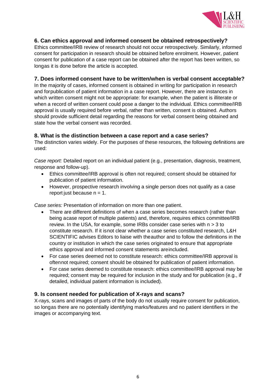

## **6. Can ethics approval and informed consent be obtained retrospectively?**

Ethics committee/IRB review of research should not occur retrospectively. Similarly, informed consent for participation in research should be obtained before enrolment. However, patient consent for publication of a case report can be obtained after the report has been written, so longas it is done before the article is accepted.

### **7. Does informed consent have to be written/when is verbal consent acceptable?**

In the majority of cases, informed consent is obtained in writing for participation in research and forpublication of patient information in a case report. However, there are instances in which written consent might not be appropriate: for example, when the patient is illiterate or when a record of written consent could pose a danger to the individual. Ethics committee/IRB approval is usually required before verbal, rather than written, consent is obtained. Authors should provide sufficient detail regarding the reasons for verbal consent being obtained and state how the verbal consent was recorded.

### **8. What is the distinction between a case report and a case series?**

The distinction varies widely. For the purposes of these resources, the following definitions are used:

*Case report:* Detailed report on an individual patient (e.g., presentation, diagnosis, treatment, response and follow-up).

- Ethics committee/IRB approval is often not required; consent should be obtained for publication of patient information.
- However, prospective research involving a single person does not qualify as a case report just because  $n = 1$ .

*Case series:* Presentation of information on more than one patient.

- There are different definitions of when a case series becomes research (rather than being acase report of multiple patients) and, therefore, requires ethics committee/IRB review. In the USA, for example, some IRBs consider case series with  $n > 3$  to constitute research. If it isnot clear whether a case series constituted research, L&H SCIENTIFIC advises Editors to liaise with theauthor and to follow the definitions in the country or institution in which the case series originated to ensure that appropriate ethics approval and informed consent statements areincluded.
- For case series deemed not to constitute research: ethics committee/IRB approval is oftennot required; consent should be obtained for publication of patient information.
- For case series deemed to constitute research: ethics committee/IRB approval may be required; consent may be required for inclusion in the study and for publication (e.g., if detailed, individual patient information is included).

# **9. Is consent needed for publication of X-rays and scans?**

X-rays, scans and images of parts of the body do not usually require consent for publication, so longas there are no potentially identifying marks/features and no patient identifiers in the images or accompanying text.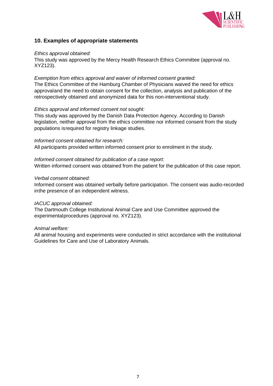

# **10. Examples of appropriate statements**

#### *Ethics approval obtained:*

This study was approved by the Mercy Health Research Ethics Committee (approval no. XYZ123).

#### *Exemption from ethics approval and waiver of informed consent granted:*

The Ethics Committee of the Hamburg Chamber of Physicians waived the need for ethics approvaland the need to obtain consent for the collection, analysis and publication of the retrospectively obtained and anonymized data for this non-interventional study.

#### *Ethics approval and informed consent not sought:*

This study was approved by the Danish Data Protection Agency. According to Danish legislation, neither approval from the ethics committee nor informed consent from the study populations isrequired for registry linkage studies.

#### *Informed consent obtained for research:*

All participants provided written informed consent prior to enrolment in the study.

#### *Informed consent obtained for publication of a case report:*

Written informed consent was obtained from the patient for the publication of this case report.

#### *Verbal consent obtained:*

Informed consent was obtained verbally before participation. The consent was audio-recorded inthe presence of an independent witness.

#### *IACUC approval obtained:*

The Dartmouth College Institutional Animal Care and Use Committee approved the experimentalprocedures (approval no. XYZ123).

#### *Animal welfare:*

All animal housing and experiments were conducted in strict accordance with the institutional Guidelines for Care and Use of Laboratory Animals.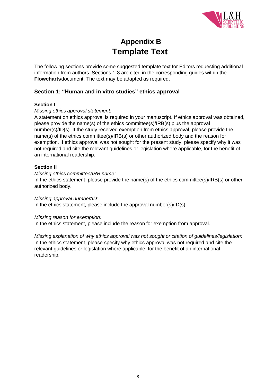

# **Appendix B Template Text**

<span id="page-7-0"></span>The following sections provide some suggested template text for Editors requesting additional information from authors. Sections 1-8 are cited in the corresponding guides within the **Flowcharts**document. The text may be adapted as required.

# **Section 1: "Human and in vitro studies" ethics approval**

#### **Section I**

### *Missing ethics approval statement:*

A statement on ethics approval is required in your manuscript. If ethics approval was obtained, please provide the name(s) of the ethics committee(s)/IRB(s) plus the approval number(s)/ID(s). If the study received exemption from ethics approval, please provide the name(s) of the ethics committee(s)/IRB(s) or other authorized body and the reason for exemption. If ethics approval was not sought for the present study, please specify why it was not required and cite the relevant guidelines or legislation where applicable, for the benefit of an international readership.

### **Section II**

#### *Missing ethics committee/IRB name:*

In the ethics statement, please provide the name(s) of the ethics committee(s)/IRB(s) or other authorized body.

#### *Missing approval number/ID:*

In the ethics statement, please include the approval number(s)/ID(s).

#### *Missing reason for exemption:*

In the ethics statement, please include the reason for exemption from approval.

*Missing explanation of why ethics approval was not sought or citation of guidelines/legislation:* In the ethics statement, please specify why ethics approval was not required and cite the relevant guidelines or legislation where applicable, for the benefit of an international readership.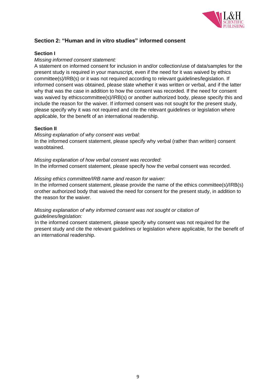

# **Section 2: "Human and in vitro studies" informed consent**

## **Section I**

#### *Missing informed consent statement:*

A statement on informed consent for inclusion in and/or collection/use of data/samples for the present study is required in your manuscript, even if the need for it was waived by ethics committee(s)/IRB(s) or it was not required according to relevant guidelines/legislation. If informed consent was obtained, please state whether it was written or verbal, and if the latter why that was the case in addition to how the consent was recorded. If the need for consent was waived by ethicscommittee(s)/IRB(s) or another authorized body, please specify this and include the reason for the waiver. If informed consent was not sought for the present study, please specify why it was not required and cite the relevant guidelines or legislation where applicable, for the benefit of an international readership.

#### **Section II**

#### *Missing explanation of why consent was verbal:*

In the informed consent statement, please specify why verbal (rather than written) consent wasobtained.

*Missing explanation of how verbal consent was recorded:* In the informed consent statement, please specify how the verbal consent was recorded.

#### *Missing ethics committee/IRB name and reason for waiver:*

In the informed consent statement, please provide the name of the ethics committee(s)/IRB(s) orother authorized body that waived the need for consent for the present study, in addition to the reason for the waiver.

### *Missing explanation of why informed consent was not sought or citation of guidelines/legislation:*

In the informed consent statement, please specify why consent was not required for the present study and cite the relevant guidelines or legislation where applicable, for the benefit of an international readership.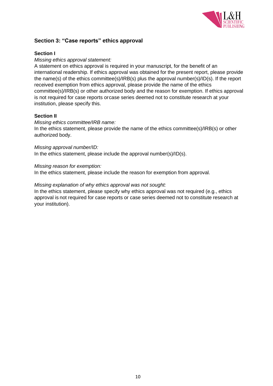

# **Section 3: "Case reports" ethics approval**

## **Section I**

#### *Missing ethics approval statement:*

A statement on ethics approval is required in your manuscript, for the benefit of an international readership. If ethics approval was obtained for the present report, please provide the name(s) of the ethics committee(s)/IRB(s) plus the approval number(s)/ID(s). If the report received exemption from ethics approval, please provide the name of the ethics committee(s)/IRB(s) or other authorized body and the reason for exemption. If ethics approval is not required for case reports orcase series deemed not to constitute research at your institution, please specify this.

#### **Section II**

#### *Missing ethics committee/IRB name:*

In the ethics statement, please provide the name of the ethics committee(s)/IRB(s) or other authorized body.

#### *Missing approval number/ID:*

In the ethics statement, please include the approval number(s)/ID(s).

#### *Missing reason for exemption:*

In the ethics statement, please include the reason for exemption from approval.

#### *Missing explanation of why ethics approval was not sought:*

In the ethics statement, please specify why ethics approval was not required (e.g., ethics approval is not required for case reports or case series deemed not to constitute research at your institution).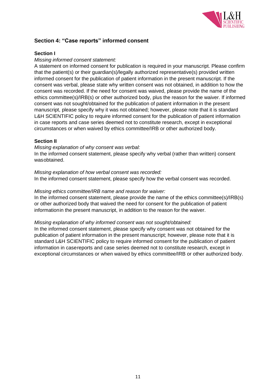

# **Section 4: "Case reports" informed consent**

### **Section I**

#### *Missing informed consent statement:*

A statement on informed consent for publication is required in your manuscript. Please confirm that the patient(s) or their guardian(s)/legally authorized representative(s) provided written informed consent for the publication of patient information in the present manuscript. If the consent was verbal, please state why written consent was not obtained, in addition to how the consent was recorded. If the need for consent was waived, please provide the name of the ethics committee(s)/IRB(s) or other authorized body, plus the reason for the waiver. If informed consent was not sought/obtained for the publication of patient information in the present manuscript, please specify why it was not obtained; however, please note that it is standard L&H SCIENTIFIC policy to require informed consent for the publication of patient information in case reports and case series deemed not to constitute research, except in exceptional circumstances or when waived by ethics committee/IRB or other authorized body.

#### **Section II**

#### *Missing explanation of why consent was verbal:*

In the informed consent statement, please specify why verbal (rather than written) consent wasobtained.

#### *Missing explanation of how verbal consent was recorded:*

In the informed consent statement, please specify how the verbal consent was recorded.

#### *Missing ethics committee/IRB name and reason for waiver:*

In the informed consent statement, please provide the name of the ethics committee(s)/IRB(s) or other authorized body that waived the need for consent for the publication of patient informationin the present manuscript, in addition to the reason for the waiver.

#### *Missing explanation of why informed consent was not sought/obtained:*

In the informed consent statement, please specify why consent was not obtained for the publication of patient information in the present manuscript; however, please note that it is standard L&H SCIENTIFIC policy to require informed consent for the publication of patient information in casereports and case series deemed not to constitute research, except in exceptional circumstances or when waived by ethics committee/IRB or other authorized body.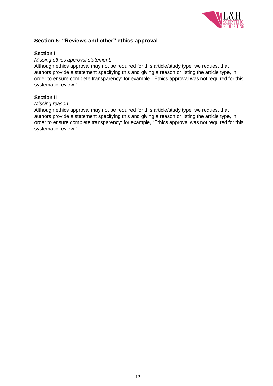

# **Section 5: "Reviews and other" ethics approval**

#### **Section I**

#### *Missing ethics approval statement:*

Although ethics approval may not be required for this article/study type, we request that authors provide a statement specifying this and giving a reason or listing the article type, in order to ensure complete transparency: for example, "Ethics approval was not required for this systematic review."

#### **Section II**

#### *Missing reason:*

Although ethics approval may not be required for this article/study type, we request that authors provide a statement specifying this and giving a reason or listing the article type, in order to ensure complete transparency: for example, "Ethics approval was not required for this systematic review."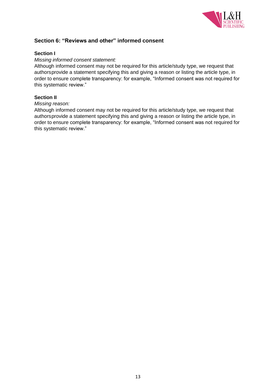

# **Section 6: "Reviews and other" informed consent**

#### **Section I**

#### *Missing informed consent statement:*

Although informed consent may not be required for this article/study type, we request that authorsprovide a statement specifying this and giving a reason or listing the article type, in order to ensure complete transparency: for example, "Informed consent was not required for this systematic review."

#### **Section II**

#### *Missing reason:*

Although informed consent may not be required for this article/study type, we request that authorsprovide a statement specifying this and giving a reason or listing the article type, in order to ensure complete transparency: for example, "Informed consent was not required for this systematic review."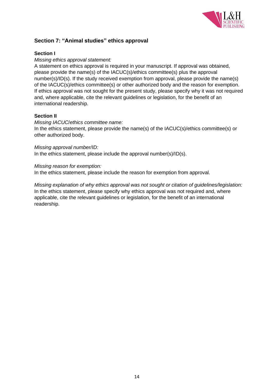

# **Section 7: "Animal studies" ethics approval**

## **Section I**

#### *Missing ethics approval statement:*

A statement on ethics approval is required in your manuscript. If approval was obtained, please provide the name(s) of the IACUC(s)/ethics committee(s) plus the approval number(s)/ID(s). If the study received exemption from approval, please provide the name(s) of the IACUC(s)/ethics committee(s) or other authorized body and the reason for exemption. If ethics approval was not sought for the present study, please specify why it was not required and, where applicable, cite the relevant guidelines or legislation, for the benefit of an international readership.

#### **Section II**

#### *Missing IACUC*/*ethics committee name:*

In the ethics statement, please provide the name(s) of the IACUC(s)/ethics committee(s) or other authorized body.

#### *Missing approval number/ID:*

In the ethics statement, please include the approval number(s)/ID(s).

#### *Missing reason for exemption:*

In the ethics statement, please include the reason for exemption from approval.

*Missing explanation of why ethics approval was not sought or citation of guidelines/legislation:* In the ethics statement, please specify why ethics approval was not required and, where applicable, cite the relevant guidelines or legislation, for the benefit of an international readership.